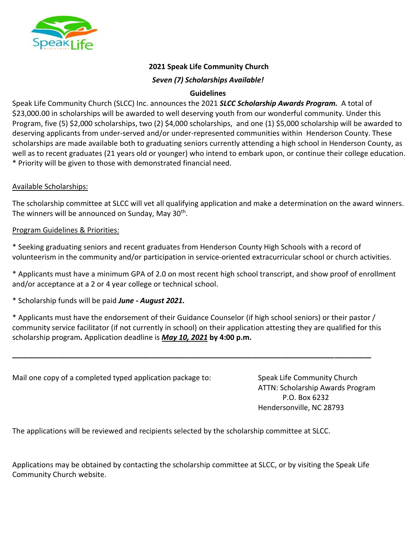

# **2021 Speak Life Community Church**

#### *Seven (7) Scholarships Available!*

### **Guidelines**

Speak Life Community Church (SLCC) Inc. announces the 2021 *SLCC Scholarship Awards Program.* A total of \$23,000.00 in scholarships will be awarded to well deserving youth from our wonderful community. Under this Program, five (5) \$2,000 scholarships, two (2) \$4,000 scholarships, and one (1) \$5,000 scholarship will be awarded to deserving applicants from under-served and/or under-represented communities within Henderson County. These scholarships are made available both to graduating seniors currently attending a high school in Henderson County, as well as to recent graduates (21 years old or younger) who intend to embark upon, or continue their college education. \* Priority will be given to those with demonstrated financial need.

### Available Scholarships:

The scholarship committee at SLCC will vet all qualifying application and make a determination on the award winners. The winners will be announced on Sunday, May 30<sup>th</sup>.

#### Program Guidelines & Priorities:

\* Seeking graduating seniors and recent graduates from Henderson County High Schools with a record of volunteerism in the community and/or participation in service-oriented extracurricular school or church activities.

\* Applicants must have a minimum GPA of 2.0 on most recent high school transcript, and show proof of enrollment and/or acceptance at a 2 or 4 year college or technical school.

\* Scholarship funds will be paid *June - August 2021.*

\* Applicants must have the endorsement of their Guidance Counselor (if high school seniors) or their pastor / community service facilitator (if not currently in school) on their application attesting they are qualified for this scholarship program*.* Application deadline is *May 10, 2021* **by 4:00 p.m.**

**\_\_\_\_\_\_\_\_\_\_\_\_\_\_\_\_\_\_\_\_\_\_\_\_\_\_\_\_\_\_\_\_\_\_\_\_\_\_\_\_\_\_\_\_\_\_\_\_\_\_\_\_\_\_\_\_\_\_\_\_\_\_\_\_\_\_\_\_\_\_\_\_\_\_\_\_\_\_\_\_\_\_\_\_\_\_\_\_**

Mail one copy of a completed typed application package to: Speak Life Community Church

ATTN: Scholarship Awards Program P.O. Box 6232 Hendersonville, NC 28793

The applications will be reviewed and recipients selected by the scholarship committee at SLCC.

Applications may be obtained by contacting the scholarship committee at SLCC, or by visiting the Speak Life Community Church website.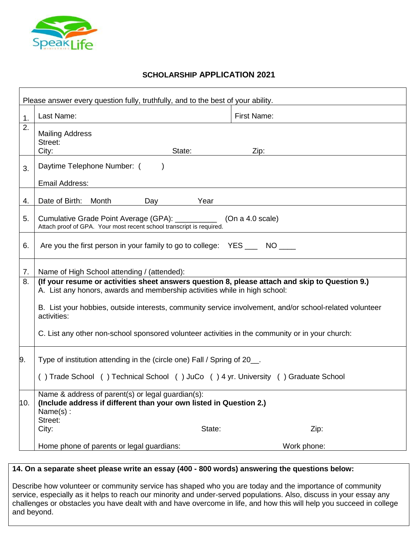

# **SCHOLARSHIP APPLICATION 2021**

|     | Please answer every question fully, truthfully, and to the best of your ability.                                                                                             |        |                                                                                                         |  |
|-----|------------------------------------------------------------------------------------------------------------------------------------------------------------------------------|--------|---------------------------------------------------------------------------------------------------------|--|
| 1.  | Last Name:                                                                                                                                                                   |        | <b>First Name:</b>                                                                                      |  |
| 2.  | <b>Mailing Address</b><br>Street:<br>City:                                                                                                                                   | State: | Zip:                                                                                                    |  |
| 3.  | Daytime Telephone Number: (<br>Email Address:                                                                                                                                |        |                                                                                                         |  |
| 4.  | Date of Birth: Month<br>Day                                                                                                                                                  | Year   |                                                                                                         |  |
| 5.  | Cumulative Grade Point Average (GPA): __________<br>Attach proof of GPA. Your most recent school transcript is required.                                                     |        | (On a 4.0 scale)                                                                                        |  |
| 6.  | Are you the first person in your family to go to college: YES _____ NO ____                                                                                                  |        |                                                                                                         |  |
| 7.  | Name of High School attending / (attended):                                                                                                                                  |        |                                                                                                         |  |
| 8.  | (If your resume or activities sheet answers question 8, please attach and skip to Question 9.)<br>A. List any honors, awards and membership activities while in high school: |        |                                                                                                         |  |
|     | activities:                                                                                                                                                                  |        | B. List your hobbies, outside interests, community service involvement, and/or school-related volunteer |  |
|     | C. List any other non-school sponsored volunteer activities in the community or in your church:                                                                              |        |                                                                                                         |  |
| 9.  | Type of institution attending in the (circle one) Fall / Spring of 20__.                                                                                                     |        |                                                                                                         |  |
|     | () Trade School () Technical School () JuCo () 4 yr. University () Graduate School                                                                                           |        |                                                                                                         |  |
| 10. | Name & address of parent(s) or legal guardian(s):<br>(Include address if different than your own listed in Question 2.)<br>Name(s):<br>Street:                               |        |                                                                                                         |  |
|     | City:                                                                                                                                                                        | State: | Zip:                                                                                                    |  |
|     | Home phone of parents or legal guardians:                                                                                                                                    |        | Work phone:                                                                                             |  |

# **14. On a separate sheet please write an essay (400 - 800 words) answering the questions below:**

Describe how volunteer or community service has shaped who you are today and the importance of community service, especially as it helps to reach our minority and under-served populations. Also, discuss in your essay any challenges or obstacles you have dealt with and have overcome in life, and how this will help you succeed in college and beyond.